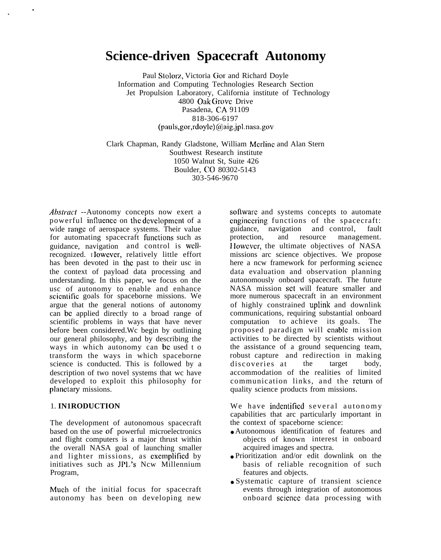# **Science-driven Spacecraft Autonomy**

Paul Stolorz, Victoria Gor and Richard Doyle Information and Computing Technologies Research Section Jet Propulsion Laboratory, California institute of Technology 4800 Oak Grove Drive Pasadena, CA 91109 818-306-6197  $(pauls,gor,rdoyle)$   $(a)$ aig.jpl.nasa.gov

Clark Chapman, Randy Gladstone, William Mcrline and Alan Stern Southwest Research institute 1050 Walnut St, Suite 426 Boulder, C() 80302-5143 303-546-9670

Abstract --Autonomy concepts now exert a powerful influcncc on the dcvcloprncnt of a wide range of aerospace systems. Their value for automating spacecraft functions such as guidance, navigation and control is wcllrecognized. I lowcvcr, relatively little effort has been devoted in the past to their usc in the context of payload data processing and understanding. In this paper, we focus on the usc of autonomy to enable and enhance scientific goals for spaceborne missions. We argue that the general notions of autonomy can bc applied directly to a broad range of scientific problems in ways that have never before been considered.Wc begin by outlining our general philosophy, and by describing the ways in which autonomy can bc used t o transform the ways in which spaceborne science is conducted. This is followed by a description of two novel systems that wc have developed to exploit this philosophy for planetary missions.

## 1. **IN1RODUCTION**

The development of autonomous spacecraft based on the use of powerful microelectronics and flight computers is a major thrust within the overall NASA goal of launching smaller and lighter missions, as cxempliticd by initiatives such as JPL's Ncw Millennium Program,

Much of the initial focus for spacecraft autonomy has been on developing new soflwarc and systems concepts to automate cnginccring functions of the spacecraft: guidance, navigation and control, fault protection, and resource management. <sup>1</sup> lowevcr, the ultimate objectives of NASA missions arc science objectives. We propose here a ncw framework for performing scicncc data evaluation and observation planning autonomously onboard spacecraft. The future NASA mission set will feature smaller and more numerous spacecraft in an environment of highly constrained uplink and downlink communications, requiring substantial onboard computation to achieve its goals. The proposed paradigm will enable mission activities to be directed by scientists without the assistance of a ground sequencing team, robust capture and redirection in making discoveries at the target body, accommodation of the realities of limited communication links, and the return of quality science products from missions.

We have indcntified several autonomy capabilities that arc particularly important in the context of spaceborne science:

- Autonomous identification of features and objects of known interest in onboard acquired images and spectra.
- Prioritization and/or edit downlink on the basis of reliable recognition of such features and objects.
- Systematic capture of transient science events through integration of autonomous onboard scicncc data processing with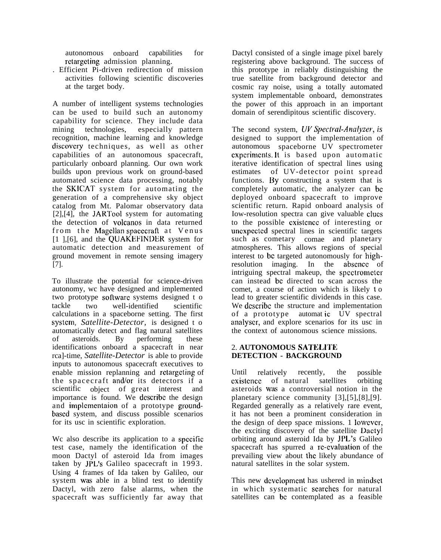autonomous onboard capabilities for retargcting admission planning.

. Efficient Pi-driven redirection of mission activities following scientific discoveries at the target body.

A number of intelligent systems technologies can be used to build such an autonomy capability for science. They include data mining technologies, especially pattern recognition, machine learning and knowledge discovery techniques, as well as other capabilities of an autonomous spacecraft, particularly onboard planning. Our own work builds upon previous work on ground-based automated science data processing, notably the SKICAT system for automating the generation of a comprehensive sky object catalog from Mt. Palomar observatory data [2],[4], the JARTooI system for automating the detection of volcanos in data returned from the Magellan spacecraft at Venus  $[1]$ ,  $[6]$ , and the QUAKEFINDER system for automatic detection and measurement of ground movement in remote sensing imagery [7].

To illustrate the potential for science-driven autonomy, wc have designed and implemented two prototype soflware systems designed t o tackle two well-identified scientific calculations in a spaceborne setting. The first systcm, *Satellite-Detector,* is designed t o automatically detect and flag natural satellites of asteroids. By performing these identifications onboard a spacecraft in near rca]-time, *Satellite-Detector* is able to provide inputs to autonomous spacecraft executives to enable mission replanning and rctargeting of the spacecraft and/or its detectors if a scientific object of great interest and importance is found. We dcscribc the design and implcmentaion of a prototype groundbascd system, and discuss possible scenarios for its usc in scientific exploration.

We also describe its application to a specific test case, namely the identification of the moon Dactyl of asteroid Ida from images taken by JPL's Galileo spacecraft in 1993. Using 4 frames of Ida taken by Galileo, our system was able in a blind test to identify Dactyl, with zero false alarms, when the spacecraft was sufficiently far away that

Dactyl consisted of a single image pixel barely registering above background. The success of this prototype in reliably distinguishing the true satellite from background detector and cosmic ray noise, using a totally automated system implementable onboard, demonstrates the power of this approach in an important domain of serendipitous scientific discovery.

The second system, *UV* Spectral-Analyzer, is designed to support the implementation of  $autonomous$  spaceborne  $U\hat{V}$  spectrometer cxpcrimcnts. It is based upon automatic iterative identification of spectral lines using estimates of UV-detector point spread functions. By constructing a system that is completely automatic, the analyzer can bc deployed onboard spacecraft to improve scientific return. Rapid onboard analysis of Iow-resolution spectra can give valuable clucs to the possible cxistcncc of interesting or uncxpcctcd spectral lines in scientific targets such as cometary comae and planetary atmospheres. This allows regions of special interest to bc targeted autonomously for highresolution imaging. In the abscncc of intriguing spectral makeup, the spectrometer can instead bc directed to scan across the comet, a course of action which is likely t o lead to greater scientific dividends in this case. We dcscribc the structure and implementation of a prototype automat ic UV spectral analyscr, and explore scenarios for its usc in the context of autonomous science missions.

#### 2. AUTONOMOUS SATELITE **DETECTION - BACKGROUND**

Until relatively recently, the possible cxistcncc of natural satellites orbiting asteroids was a controversial notion in the planetary science community [3],[5],[8],[9]. Regarded generally as a relatively rare event, it has not been a prominent consideration in the design of deep space missions. 1 Iowcvcr, the exciting discovery of the satellite Dactyl orbiting around asteroid Ida by JPL's Galileo spacecraft has spurred a rc-evaluation of the prevailing view about the likely abundance of natural satellites in the solar system.

This new dcvclopmcnt has ushered in mindset in which systematic scarchcs for natural satellites can bc contemplated as a feasible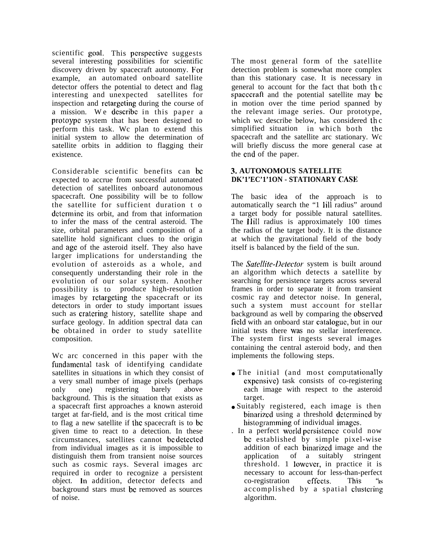scientific goal. This perspective suggests several interesting possibilities for scientific discovery driven by spacecraft autonomy. For example, an automated onboard satellite detector offers the potential to detect and flag interesting and unexpected satellites for inspection and rctargcting during the course of a mission. We dcscribc in this paper a protoypc system that has been designed to perform this task. Wc plan to extend this initial system to allow the determination of satellite orbits in addition to flagging their existence.

Considerable scientific benefits can bc expected to accrue from successful automated detection of satellites onboard autonomous spacecraft. One possibility will be to follow the satellite for sufficient duration t o determine its orbit, and from that information to infer the mass of the central asteroid. The size, orbital parameters and composition of a satellite hold significant clues to the origin and agc of the asteroid itself. They also have larger implications for understanding the evolution of asteroids as a whole, and consequently understanding their role in the evolution of our solar system. Another possibility is to produce high-resolution images by retargcting the spacecraft or its detectors in order to study important issues such as cratcring history, satellite shape and surface geology. In addition spectral data can bc obtained in order to study satellite composition.

Wc arc concerned in this paper with the ftmdamcntal task of identifying candidate satellites in situations in which they consist of a very small number of image pixels (perhaps<br>only one) registering barely above only one) registering barely above background. This is the situation that exists as a spacecraft first approaches a known asteroid target at far-field, and is the most critical time to flag a new satellite if the spacecraft is to bc given time to react to a detection. In these circumstances, satellites cannot bc dctcctcd from individual images as it is impossible to distinguish them from transient noise sources such as cosmic rays. Several images arc required in order to recognize a persistent object. In addition, detector defects and background stars must bc removed as sources of noise.

The most general form of the satellite detection problem is somewhat more complex than this stationary case. It is necessary in general to account for the fact that both th c spacccrafi and the potential satellite may bc in motion over the time period spanned by the relevant image series. Our prototype, which wc describe below, has considered th c simplified situation in which both the spacecraft and the satellite arc stationary. Wc will briefly discuss the more general case at the cnd of the paper.

## **3. AUTONOMOUS SATELLITE DK'1'EC'1'1ON - STATIONARY CASE**

The basic idea of the approach is to automatically search the "1 lill radius" around a target body for possible natural satellites. The Hill radius is approximately 100 times the radius of the target body. It is the distance at which the gravitational field of the body itself is balanced by the field of the sun.

The *Satellite-Detector* system is built around an algorithm which detects a satellite by searching for persistence targets across several frames in order to separate it from transient cosmic ray and detector noise. In general, such a system must account for stellar background as well by comparing the obscwed field with an onboard star cataloguc, but in our initial tests there was no stellar interference. The system first ingests several images containing the central asteroid body, and then implements the following steps.

- The initial (and most computationally cxpcnsivc) task consists of co-registering each image with respect to the asteroid target.
- Suitably registered, each image is then binarizcd using a threshold dctcrmincd by histogramming of individual images.
- . In a perfect world pcrsistcncc could now bc established by simple pixel-wise addition of each binarizcd image and the application of a suitably stringent threshold. 1 Iowcvcr, in practice it is necessary to account for less-than-perfect co-registration effects. This 'is accomplished by a spatial clustering algorithm.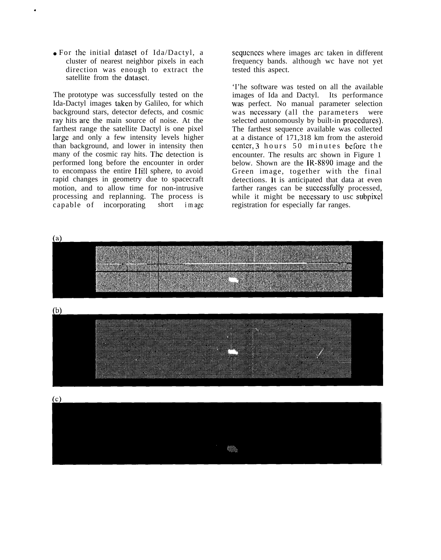● For the initial dataset of Ida/Dactyl, a cluster of nearest neighbor pixels in each direction was enough to extract the satellite from the dataset.

.

The prototype was successfully tested on the Ida-Dactyl images taken by Galileo, for which background stars, detector defects, and cosmic ray hits are the main source of noise. At the farthest range the satellite Dactyl is one pixel large and only a few intensity levels higher than background, and lower in intensity then many of the cosmic ray hits. The detection is performed long before the encounter in order to encompass the entire <sup>1</sup> Iill sphere, to avoid rapid changes in geometry due to spacecraft motion, and to allow time for non-intrusive processing and replanning. The process is capable of incorporating short image scquenccs where images arc taken in different frequency bands. although wc have not yet tested this aspect.

'I'he software was tested on all the available images of Ida and Dactyl. Its performance was perfect. No manual parameter selection was necessary (all the parameters were selected autonomously by built-in procedures). The farthest sequence available was collected at a distance of 171,318 km from the asteroid center, 3 hours 50 minutes before the encounter. The results arc shown in Figure 1 below. Shown are the IR-8890 image and the Green image, together with the final detections. It is anticipated that data at even farther ranges can be successfully processed, while it might be necessary to use subpixel registration for especially far ranges.

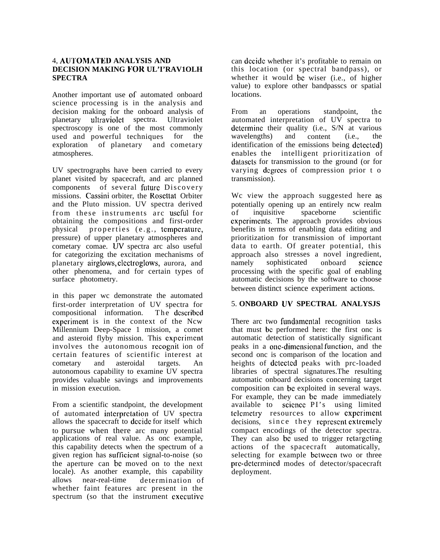### **4, AUTOMATED ANALYSIS AND DECISION MAKING FOR UL'I'RAV1OLH SPECTRA**

Another important use of automated onboard science processing is in the analysis and decision making for the onboard analysis of planetary ultravio]ct spectra. Ultraviolet spectroscopy is one of the most commonly used and powerful techniques for the exploration of planetary and cometary atmospheres.

UV spectrographs have been carried to every planet visited by spacecraft, and arc planned components of several future Discovery missions. Cassini orbiter, the Roscttat Orbiter and the Pluto mission. UV spectra derived from these instruments arc useful for obtaining the compositions and first-order physical properties (e.g., tcmpcraturc, pressure) of upper planetary atmospheres and cometary comae. UV spectra arc also useful for categorizing the excitation mechanisms of planetary airglows, clcctroglows, aurora, and other phenomena, and for certain types of surface photometry.

in this paper wc demonstrate the automated first-order interpretation of UV spectra for<br>compositional information. The described compositional information. experiment is in the context of the Ncw Millennium Deep-Space 1 mission, a comet and asteroid flyby mission. This experiment involves the autonomous rccognit ion of certain features of scientific interest at cometary and asteroidal targets. An autonomous capability to examine UV spectra provides valuable savings and improvements in mission execution.

From a scientific standpoint, the development of automated interpretation of UV spectra allows the spacecraft to dccidc for itself which to pursue when there arc many potential applications of real value. As onc example, this capability detects when the spectrum of a given region has sufficient signal-to-noise (so the aperture can bc moved on to the next locale). As another example, this capability allows near-real-time determination of whether faint features arc present in the spectrum (so that the instrument executive

can dccidc whether it's profitable to remain on this location (or spectral bandpass), or whether it would be wiser (i.e., of higher value) to explore other bandpasscs or spatial locations.

From an operations standpoint, the automated interpretation of UV spectra to determine their quality (i.e., S/N at various wavelengths) and content (i.e., the identification of the emissions being detected) enables the intelligent prioritization of datascts for transmission to the ground (or for varying dcgrccs of compression prior t o transmission).

Wc view the approach suggested here as potentially opening up an entirely ncw realm of inquisitive spaceborne scientific cxpcrimcnts. The approach provides obvious benefits in terms of enabling data editing and prioritization for transmission of important data to earth. Of greater potential, this approach also stresses a novel ingredient,<br>namely sophisticated onboard science namely sophisticated onboard science processing with the specific goal of enabling automatic decisions by the software to choose between distinct science experiment actions.

# 5. **ONBOARD W SPECTRAL ANALYSJS**

There arc two fundamental recognition tasks that must bc performed here: the first onc is automatic detection of statistically significant peaks in a one-dimensional function, and the second onc is comparison of the location and heights of dctcctcd peaks with prc-loaded libraries of spectral signatures.The resulting automatic onboard decisions concerning target composition can bc exploited in several ways. For example, they can bc made immediately available to scicncc PI's using limited telemetry resources to allow experiment decisions, since they represent extremely compact encodings of the detector spectra. They can also be used to trigger retargeting actions of the spacecraft automatically, selecting for example between two or three prc-dctcrmincd modes of detector/spacecraft deployment.